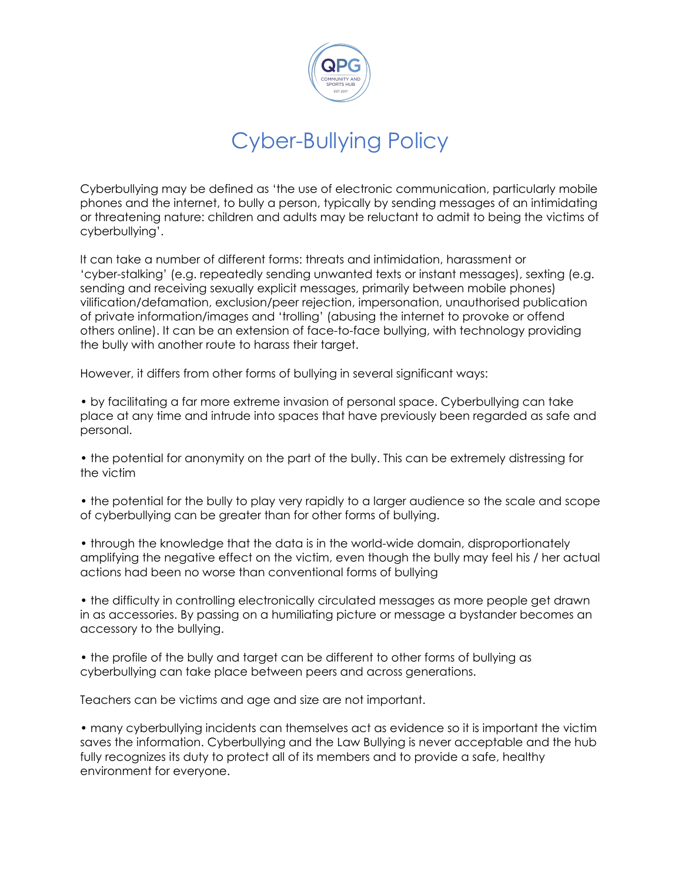

Cyberbullying may be defined as 'the use of electronic communication, particularly mobile phones and the internet, to bully a person, typically by sending messages of an intimidating or threatening nature: children and adults may be reluctant to admit to being the victims of cyberbullying'.

It can take a number of different forms: threats and intimidation, harassment or 'cyber-stalking' (e.g. repeatedly sending unwanted texts or instant messages), sexting (e.g. sending and receiving sexually explicit messages, primarily between mobile phones) vilification/defamation, exclusion/peer rejection, impersonation, unauthorised publication of private information/images and 'trolling' (abusing the internet to provoke or offend others online). It can be an extension of face-to-face bullying, with technology providing the bully with another route to harass their target.

However, it differs from other forms of bullying in several significant ways:

- by facilitating a far more extreme invasion of personal space. Cyberbullying can take place at any time and intrude into spaces that have previously been regarded as safe and personal.
- the potential for anonymity on the part of the bully. This can be extremely distressing for the victim
- the potential for the bully to play very rapidly to a larger audience so the scale and scope of cyberbullying can be greater than for other forms of bullying.
- through the knowledge that the data is in the world-wide domain, disproportionately amplifying the negative effect on the victim, even though the bully may feel his / her actual actions had been no worse than conventional forms of bullying
- the difficulty in controlling electronically circulated messages as more people get drawn in as accessories. By passing on a humiliating picture or message a bystander becomes an accessory to the bullying.
- the profile of the bully and target can be different to other forms of bullying as cyberbullying can take place between peers and across generations.

Teachers can be victims and age and size are not important.

• many cyberbullying incidents can themselves act as evidence so it is important the victim saves the information. Cyberbullying and the Law Bullying is never acceptable and the hub fully recognizes its duty to protect all of its members and to provide a safe, healthy environment for everyone.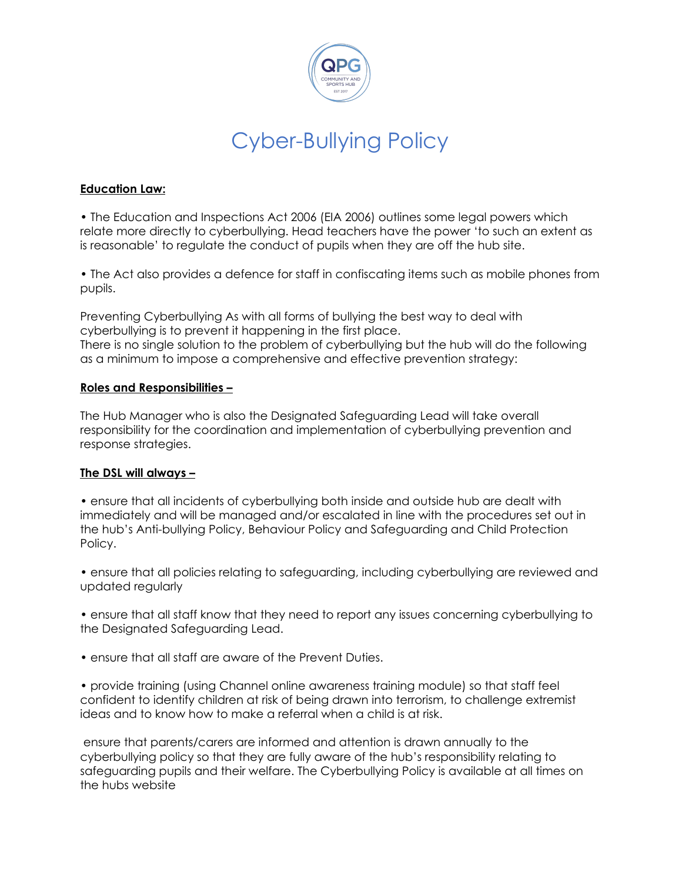

### **Education Law:**

• The Education and Inspections Act 2006 (EIA 2006) outlines some legal powers which relate more directly to cyberbullying. Head teachers have the power 'to such an extent as is reasonable' to regulate the conduct of pupils when they are off the hub site.

• The Act also provides a defence for staff in confiscating items such as mobile phones from pupils.

Preventing Cyberbullying As with all forms of bullying the best way to deal with cyberbullying is to prevent it happening in the first place. There is no single solution to the problem of cyberbullying but the hub will do the following as a minimum to impose a comprehensive and effective prevention strategy:

#### **Roles and Responsibilities –**

The Hub Manager who is also the Designated Safeguarding Lead will take overall responsibility for the coordination and implementation of cyberbullying prevention and response strategies.

#### **The DSL will always –**

• ensure that all incidents of cyberbullying both inside and outside hub are dealt with immediately and will be managed and/or escalated in line with the procedures set out in the hub's Anti-bullying Policy, Behaviour Policy and Safeguarding and Child Protection Policy.

• ensure that all policies relating to safeguarding, including cyberbullying are reviewed and updated regularly

• ensure that all staff know that they need to report any issues concerning cyberbullying to the Designated Safeguarding Lead.

• ensure that all staff are aware of the Prevent Duties.

• provide training (using Channel online awareness training module) so that staff feel confident to identify children at risk of being drawn into terrorism, to challenge extremist ideas and to know how to make a referral when a child is at risk.

 ensure that parents/carers are informed and attention is drawn annually to the cyberbullying policy so that they are fully aware of the hub's responsibility relating to safeguarding pupils and their welfare. The Cyberbullying Policy is available at all times on the hubs website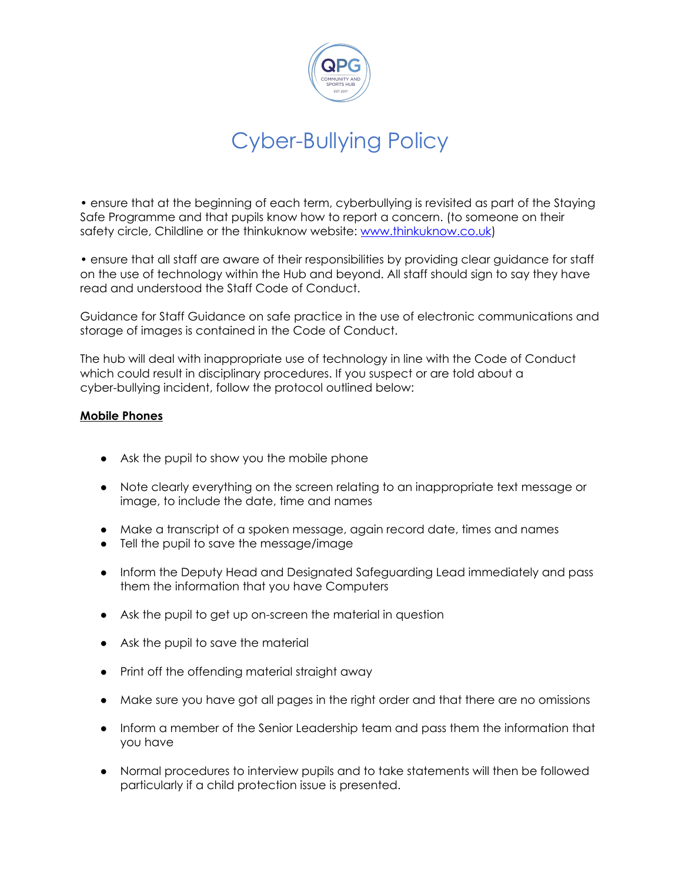

• ensure that at the beginning of each term, cyberbullying is revisited as part of the Staying Safe Programme and that pupils know how to report a concern. (to someone on their safety circle, Childline or the thinkuknow website: [www.thinkuknow.co.uk](http://www.thinkuknow.co.uk/))

• ensure that all staff are aware of their responsibilities by providing clear guidance for staff on the use of technology within the Hub and beyond. All staff should sign to say they have read and understood the Staff Code of Conduct.

Guidance for Staff Guidance on safe practice in the use of electronic communications and storage of images is contained in the Code of Conduct.

The hub will deal with inappropriate use of technology in line with the Code of Conduct which could result in disciplinary procedures. If you suspect or are told about a cyber-bullying incident, follow the protocol outlined below:

#### **Mobile Phones**

- Ask the pupil to show you the mobile phone
- Note clearly everything on the screen relating to an inappropriate text message or image, to include the date, time and names
- Make a transcript of a spoken message, again record date, times and names
- Tell the pupil to save the message/image
- Inform the Deputy Head and Designated Safeguarding Lead immediately and pass them the information that you have Computers
- Ask the pupil to get up on-screen the material in question
- Ask the pupil to save the material
- Print off the offending material straight away
- Make sure you have got all pages in the right order and that there are no omissions
- Inform a member of the Senior Leadership team and pass them the information that you have
- Normal procedures to interview pupils and to take statements will then be followed particularly if a child protection issue is presented.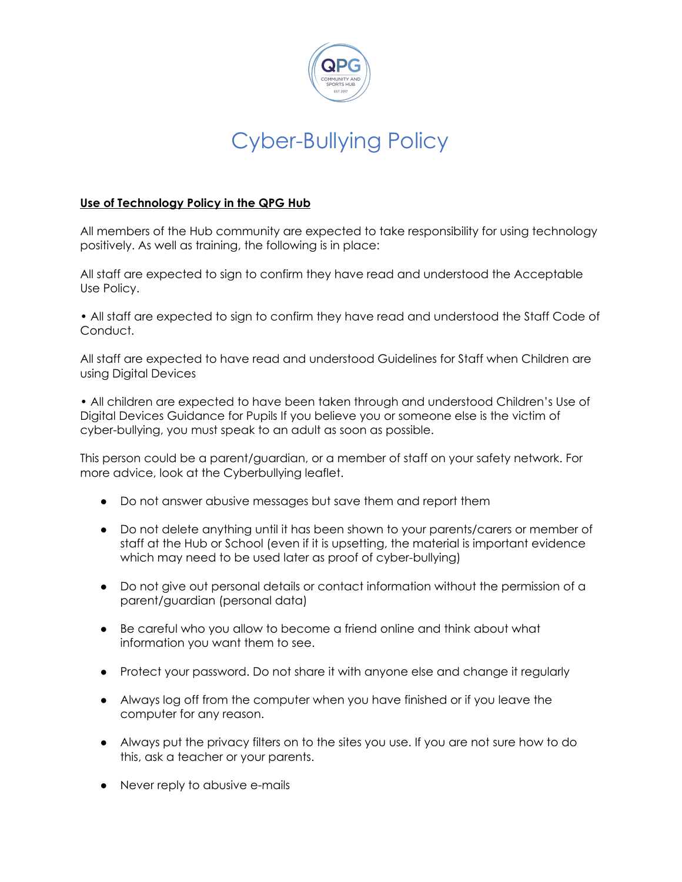

### **Use of Technology Policy in the QPG Hub**

All members of the Hub community are expected to take responsibility for using technology positively. As well as training, the following is in place:

All staff are expected to sign to confirm they have read and understood the Acceptable Use Policy.

• All staff are expected to sign to confirm they have read and understood the Staff Code of Conduct.

All staff are expected to have read and understood Guidelines for Staff when Children are using Digital Devices

• All children are expected to have been taken through and understood Children's Use of Digital Devices Guidance for Pupils If you believe you or someone else is the victim of cyber-bullying, you must speak to an adult as soon as possible.

This person could be a parent/guardian, or a member of staff on your safety network. For more advice, look at the Cyberbullying leaflet.

- Do not answer abusive messages but save them and report them
- Do not delete anything until it has been shown to your parents/carers or member of staff at the Hub or School (even if it is upsetting, the material is important evidence which may need to be used later as proof of cyber-bullying)
- Do not give out personal details or contact information without the permission of a parent/guardian (personal data)
- Be careful who you allow to become a friend online and think about what information you want them to see.
- Protect your password. Do not share it with anyone else and change it regularly
- Always log off from the computer when you have finished or if you leave the computer for any reason.
- Always put the privacy filters on to the sites you use. If you are not sure how to do this, ask a teacher or your parents.
- Never reply to abusive e-mails